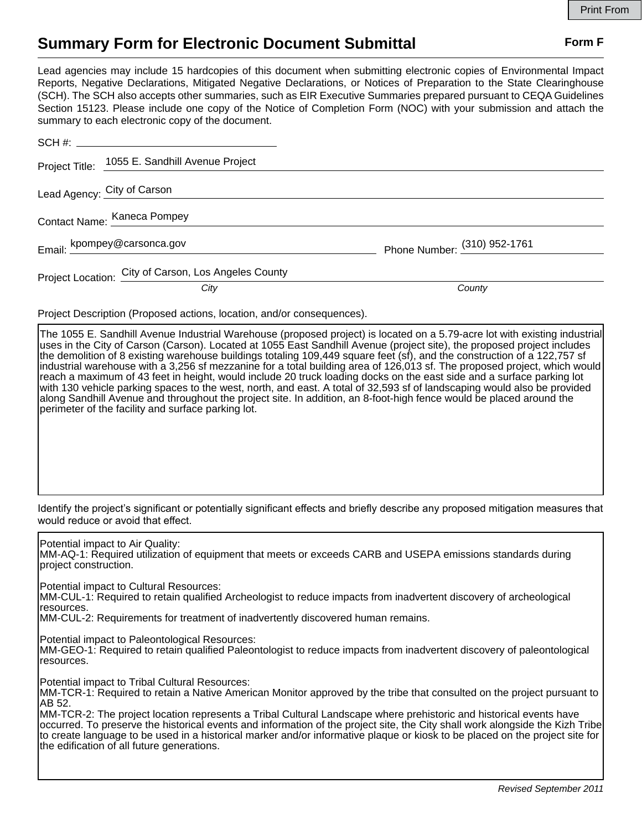## **Summary Form for Electronic Document Submittal Form F Form F**

Lead agencies may include 15 hardcopies of this document when submitting electronic copies of Environmental Impact Reports, Negative Declarations, Mitigated Negative Declarations, or Notices of Preparation to the State Clearinghouse (SCH). The SCH also accepts other summaries, such as EIR Executive Summaries prepared pursuant to CEQA Guidelines Section 15123. Please include one copy of the Notice of Completion Form (NOC) with your submission and attach the summary to each electronic copy of the document.

|                             | Project Title: 1055 E. Sandhill Avenue Project       |                              |
|-----------------------------|------------------------------------------------------|------------------------------|
|                             | Lead Agency: City of Carson                          |                              |
| Contact Name: Kaneca Pompey |                                                      |                              |
|                             | Email: kpompey@carsonca.gov                          | Phone Number: (310) 952-1761 |
|                             | Project Location: City of Carson, Los Angeles County |                              |
|                             | City                                                 | County                       |

Project Description (Proposed actions, location, and/or consequences).

The 1055 E. Sandhill Avenue Industrial Warehouse (proposed project) is located on a 5.79-acre lot with existing industrial uses in the City of Carson (Carson). Located at 1055 East Sandhill Avenue (project site), the proposed project includes the demolition of 8 existing warehouse buildings totaling 109,449 square feet (sf), and the construction of a 122,757 sf industrial warehouse with a 3,256 sf mezzanine for a total building area of 126,013 sf. The proposed project, which would reach a maximum of 43 feet in height, would include 20 truck loading docks on the east side and a surface parking lot with 130 vehicle parking spaces to the west, north, and east. A total of 32,593 sf of landscaping would also be provided along Sandhill Avenue and throughout the project site. In addition, an 8-foot-high fence would be placed around the perimeter of the facility and surface parking lot.

Identify the project's significant or potentially significant effects and briefly describe any proposed mitigation measures that would reduce or avoid that effect.

Potential impact to Air Quality: MM-AQ-1: Required utilization of equipment that meets or exceeds CARB and USEPA emissions standards during project construction.

Potential impact to Cultural Resources:

MM-CUL-1: Required to retain qualified Archeologist to reduce impacts from inadvertent discovery of archeological resources.

MM-CUL-2: Requirements for treatment of inadvertently discovered human remains.

Potential impact to Paleontological Resources:

MM-GEO-1: Required to retain qualified Paleontologist to reduce impacts from inadvertent discovery of paleontological resources.

Potential impact to Tribal Cultural Resources:

MM-TCR-1: Required to retain a Native American Monitor approved by the tribe that consulted on the project pursuant to AB 52.

MM-TCR-2: The project location represents a Tribal Cultural Landscape where prehistoric and historical events have occurred. To preserve the historical events and information of the project site, the City shall work alongside the Kizh Tribe to create language to be used in a historical marker and/or informative plaque or kiosk to be placed on the project site for the edification of all future generations.